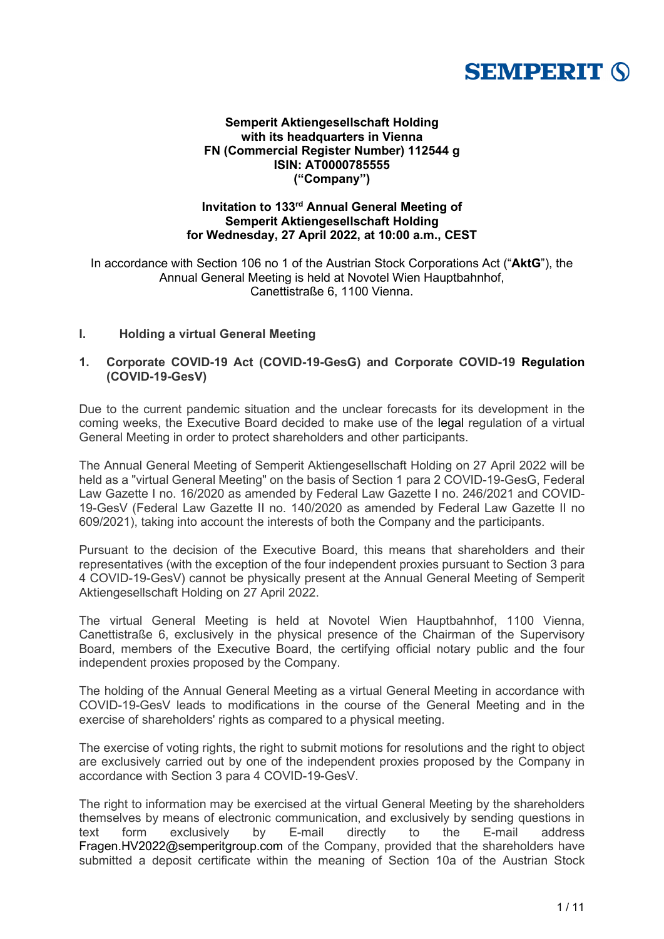# **SEMPERIT (S)**

## **Semperit Aktiengesellschaft Holding with its headquarters in Vienna FN (Commercial Register Number) 112544 g ISIN: AT0000785555 ("Company")**

# **Invitation to 133rd Annual General Meeting of Semperit Aktiengesellschaft Holding for Wednesday, 27 April 2022, at 10:00 a.m., CEST**

In accordance with Section 106 no 1 of the Austrian Stock Corporations Act ("**AktG**"), the Annual General Meeting is held at Novotel Wien Hauptbahnhof, Canettistraße 6, 1100 Vienna.

# **I. Holding a virtual General Meeting**

# **1. Corporate COVID-19 Act (COVID-19-GesG) and Corporate COVID-19 Regulation (COVID-19-GesV)**

Due to the current pandemic situation and the unclear forecasts for its development in the coming weeks, the Executive Board decided to make use of the legal regulation of a virtual General Meeting in order to protect shareholders and other participants.

The Annual General Meeting of Semperit Aktiengesellschaft Holding on 27 April 2022 will be held as a "virtual General Meeting" on the basis of Section 1 para 2 COVID-19-GesG, Federal Law Gazette I no. 16/2020 as amended by Federal Law Gazette I no. 246/2021 and COVID-19-GesV (Federal Law Gazette II no. 140/2020 as amended by Federal Law Gazette II no 609/2021), taking into account the interests of both the Company and the participants.

Pursuant to the decision of the Executive Board, this means that shareholders and their representatives (with the exception of the four independent proxies pursuant to Section 3 para 4 COVID-19-GesV) cannot be physically present at the Annual General Meeting of Semperit Aktiengesellschaft Holding on 27 April 2022.

The virtual General Meeting is held at Novotel Wien Hauptbahnhof, 1100 Vienna, Canettistraße 6, exclusively in the physical presence of the Chairman of the Supervisory Board, members of the Executive Board, the certifying official notary public and the four independent proxies proposed by the Company.

The holding of the Annual General Meeting as a virtual General Meeting in accordance with COVID-19-GesV leads to modifications in the course of the General Meeting and in the exercise of shareholders' rights as compared to a physical meeting.

The exercise of voting rights, the right to submit motions for resolutions and the right to object are exclusively carried out by one of the independent proxies proposed by the Company in accordance with Section 3 para 4 COVID-19-GesV.

The right to information may be exercised at the virtual General Meeting by the shareholders themselves by means of electronic communication, and exclusively by sending questions in<br>text form exclusively by E-mail directly to the E-mail address text form exclusively by E-mail directly to the Fragen.HV2022@semperitgroup.com of the Company, provided that the shareholders have submitted a deposit certificate within the meaning of Section 10a of the Austrian Stock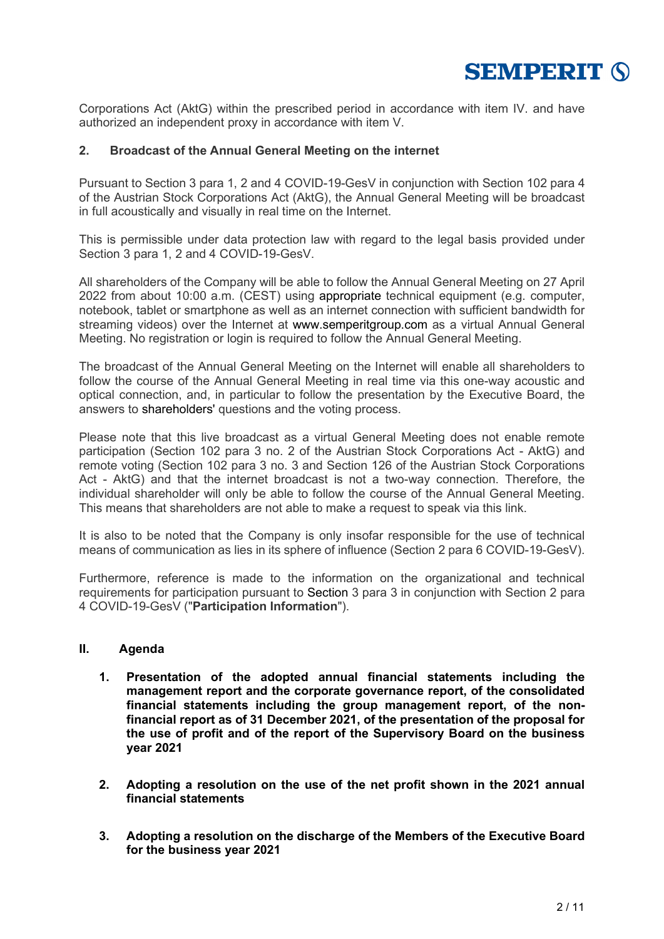

Corporations Act (AktG) within the prescribed period in accordance with item IV. and have authorized an independent proxy in accordance with item V.

## **2. Broadcast of the Annual General Meeting on the internet**

Pursuant to Section 3 para 1, 2 and 4 COVID-19-GesV in conjunction with Section 102 para 4 of the Austrian Stock Corporations Act (AktG), the Annual General Meeting will be broadcast in full acoustically and visually in real time on the Internet.

This is permissible under data protection law with regard to the legal basis provided under Section 3 para 1, 2 and 4 COVID-19-GesV.

All shareholders of the Company will be able to follow the Annual General Meeting on 27 April 2022 from about 10:00 a.m. (CEST) using appropriate technical equipment (e.g. computer, notebook, tablet or smartphone as well as an internet connection with sufficient bandwidth for streaming videos) over the Internet at www.semperitgroup.com as a virtual Annual General Meeting. No registration or login is required to follow the Annual General Meeting.

The broadcast of the Annual General Meeting on the Internet will enable all shareholders to follow the course of the Annual General Meeting in real time via this one-way acoustic and optical connection, and, in particular to follow the presentation by the Executive Board, the answers to shareholders' questions and the voting process.

Please note that this live broadcast as a virtual General Meeting does not enable remote participation (Section 102 para 3 no. 2 of the Austrian Stock Corporations Act - AktG) and remote voting (Section 102 para 3 no. 3 and Section 126 of the Austrian Stock Corporations Act - AktG) and that the internet broadcast is not a two-way connection. Therefore, the individual shareholder will only be able to follow the course of the Annual General Meeting. This means that shareholders are not able to make a request to speak via this link.

It is also to be noted that the Company is only insofar responsible for the use of technical means of communication as lies in its sphere of influence (Section 2 para 6 COVID-19-GesV).

Furthermore, reference is made to the information on the organizational and technical requirements for participation pursuant to Section 3 para 3 in conjunction with Section 2 para 4 COVID-19-GesV ("**Participation Information**").

#### **II. Agenda**

- **1. Presentation of the adopted annual financial statements including the management report and the corporate governance report, of the consolidated financial statements including the group management report, of the nonfinancial report as of 31 December 2021, of the presentation of the proposal for the use of profit and of the report of the Supervisory Board on the business year 2021**
- **2. Adopting a resolution on the use of the net profit shown in the 2021 annual financial statements**
- **3. Adopting a resolution on the discharge of the Members of the Executive Board for the business year 2021**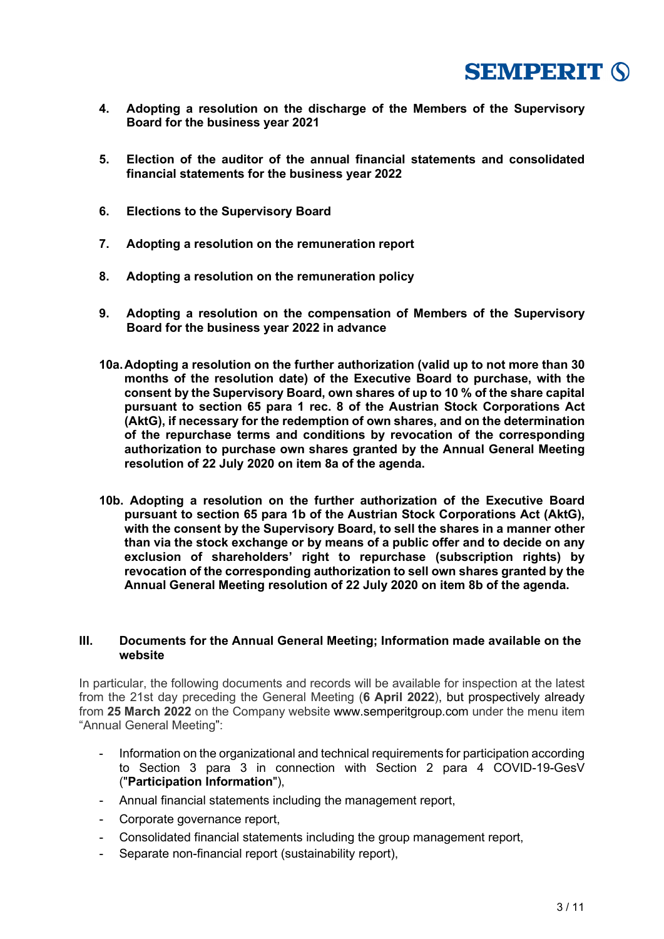

- **4. Adopting a resolution on the discharge of the Members of the Supervisory Board for the business year 2021**
- **5. Election of the auditor of the annual financial statements and consolidated financial statements for the business year 2022**
- **6. Elections to the Supervisory Board**
- **7. Adopting a resolution on the remuneration report**
- **8. Adopting a resolution on the remuneration policy**
- **9. Adopting a resolution on the compensation of Members of the Supervisory Board for the business year 2022 in advance**
- **10a.Adopting a resolution on the further authorization (valid up to not more than 30 months of the resolution date) of the Executive Board to purchase, with the consent by the Supervisory Board, own shares of up to 10 % of the share capital pursuant to section 65 para 1 rec. 8 of the Austrian Stock Corporations Act (AktG), if necessary for the redemption of own shares, and on the determination of the repurchase terms and conditions by revocation of the corresponding authorization to purchase own shares granted by the Annual General Meeting resolution of 22 July 2020 on item 8a of the agenda.**
- **10b. Adopting a resolution on the further authorization of the Executive Board pursuant to section 65 para 1b of the Austrian Stock Corporations Act (AktG), with the consent by the Supervisory Board, to sell the shares in a manner other than via the stock exchange or by means of a public offer and to decide on any exclusion of shareholders' right to repurchase (subscription rights) by revocation of the corresponding authorization to sell own shares granted by the Annual General Meeting resolution of 22 July 2020 on item 8b of the agenda.**

### **III. Documents for the Annual General Meeting; Information made available on the website**

In particular, the following documents and records will be available for inspection at the latest from the 21st day preceding the General Meeting (**6 April 2022**), but prospectively already from **25 March 2022** on the Company website www.semperitgroup.com under the menu item "Annual General Meeting":

- Information on the organizational and technical requirements for participation according to Section 3 para 3 in connection with Section 2 para 4 COVID-19-GesV ("**Participation Information**"),
- Annual financial statements including the management report,
- Corporate governance report,
- Consolidated financial statements including the group management report,
- Separate non-financial report (sustainability report),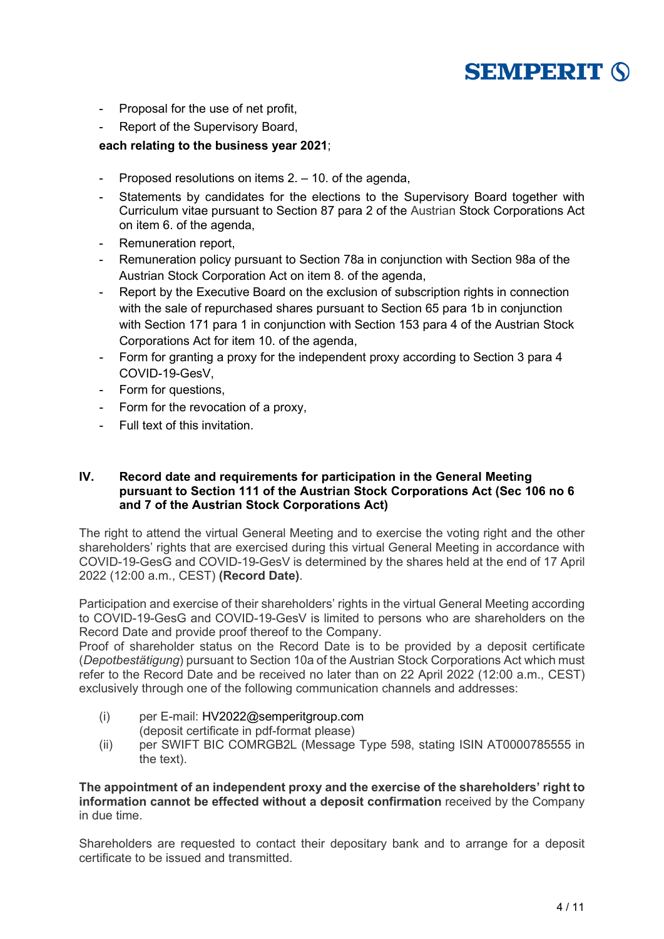# **SEMPERIT (S)**

- Proposal for the use of net profit,
- Report of the Supervisory Board,

# **each relating to the business year 2021**;

- Proposed resolutions on items 2. 10. of the agenda,
- Statements by candidates for the elections to the Supervisory Board together with Curriculum vitae pursuant to Section 87 para 2 of the Austrian Stock Corporations Act on item 6. of the agenda,
- Remuneration report.
- Remuneration policy pursuant to Section 78a in conjunction with Section 98a of the Austrian Stock Corporation Act on item 8. of the agenda,
- Report by the Executive Board on the exclusion of subscription rights in connection with the sale of repurchased shares pursuant to Section 65 para 1b in conjunction with Section 171 para 1 in conjunction with Section 153 para 4 of the Austrian Stock Corporations Act for item 10. of the agenda,
- Form for granting a proxy for the independent proxy according to Section 3 para 4 COVID-19-GesV,
- Form for questions,
- Form for the revocation of a proxy,
- Full text of this invitation.

### **IV. Record date and requirements for participation in the General Meeting pursuant to Section 111 of the Austrian Stock Corporations Act (Sec 106 no 6 and 7 of the Austrian Stock Corporations Act)**

The right to attend the virtual General Meeting and to exercise the voting right and the other shareholders' rights that are exercised during this virtual General Meeting in accordance with COVID-19-GesG and COVID-19-GesV is determined by the shares held at the end of 17 April 2022 (12:00 a.m., CEST) **(Record Date)**.

Participation and exercise of their shareholders' rights in the virtual General Meeting according to COVID-19-GesG and COVID-19-GesV is limited to persons who are shareholders on the Record Date and provide proof thereof to the Company.

Proof of shareholder status on the Record Date is to be provided by a deposit certificate (*Depotbestätigung*) pursuant to Section 10a of the Austrian Stock Corporations Act which must refer to the Record Date and be received no later than on 22 April 2022 (12:00 a.m., CEST) exclusively through one of the following communication channels and addresses:

- (i) per E-mail: HV2022@semperitgroup.com (deposit certificate in pdf-format please)
- (ii) per SWIFT BIC COMRGB2L (Message Type 598, stating ISIN AT0000785555 in the text).

**The appointment of an independent proxy and the exercise of the shareholders' right to information cannot be effected without a deposit confirmation** received by the Company in due time.

Shareholders are requested to contact their depositary bank and to arrange for a deposit certificate to be issued and transmitted.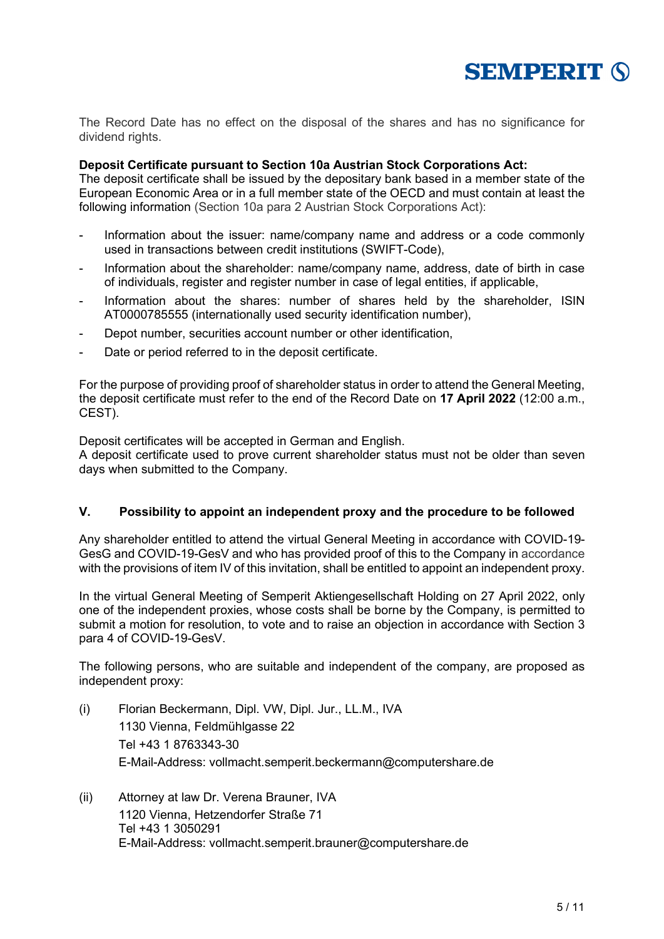

The Record Date has no effect on the disposal of the shares and has no significance for dividend rights.

### **Deposit Certificate pursuant to Section 10a Austrian Stock Corporations Act:**

The deposit certificate shall be issued by the depositary bank based in a member state of the European Economic Area or in a full member state of the OECD and must contain at least the following information (Section 10a para 2 Austrian Stock Corporations Act):

- Information about the issuer: name/company name and address or a code commonly used in transactions between credit institutions (SWIFT-Code),
- Information about the shareholder: name/company name, address, date of birth in case of individuals, register and register number in case of legal entities, if applicable,
- Information about the shares: number of shares held by the shareholder, ISIN AT0000785555 (internationally used security identification number),
- Depot number, securities account number or other identification,
- Date or period referred to in the deposit certificate.

For the purpose of providing proof of shareholder status in order to attend the General Meeting, the deposit certificate must refer to the end of the Record Date on **17 April 2022** (12:00 a.m., CEST).

Deposit certificates will be accepted in German and English.

A deposit certificate used to prove current shareholder status must not be older than seven days when submitted to the Company.

# **V. Possibility to appoint an independent proxy and the procedure to be followed**

Any shareholder entitled to attend the virtual General Meeting in accordance with COVID-19- GesG and COVID-19-GesV and who has provided proof of this to the Company in accordance with the provisions of item IV of this invitation, shall be entitled to appoint an independent proxy.

In the virtual General Meeting of Semperit Aktiengesellschaft Holding on 27 April 2022, only one of the independent proxies, whose costs shall be borne by the Company, is permitted to submit a motion for resolution, to vote and to raise an objection in accordance with Section 3 para 4 of COVID-19-GesV.

The following persons, who are suitable and independent of the company, are proposed as independent proxy:

- (i) Florian Beckermann, Dipl. VW, Dipl. Jur., LL.M., IVA 1130 Vienna, Feldmühlgasse 22 Tel +43 1 8763343-30 E-Mail-Address: vollmacht.semperit.beckermann@computershare.de
- (ii) Attorney at law Dr. Verena Brauner, IVA 1120 Vienna, Hetzendorfer Straße 71 Tel +43 1 3050291 E-Mail-Address: vollmacht.semperit.brauner@computershare.de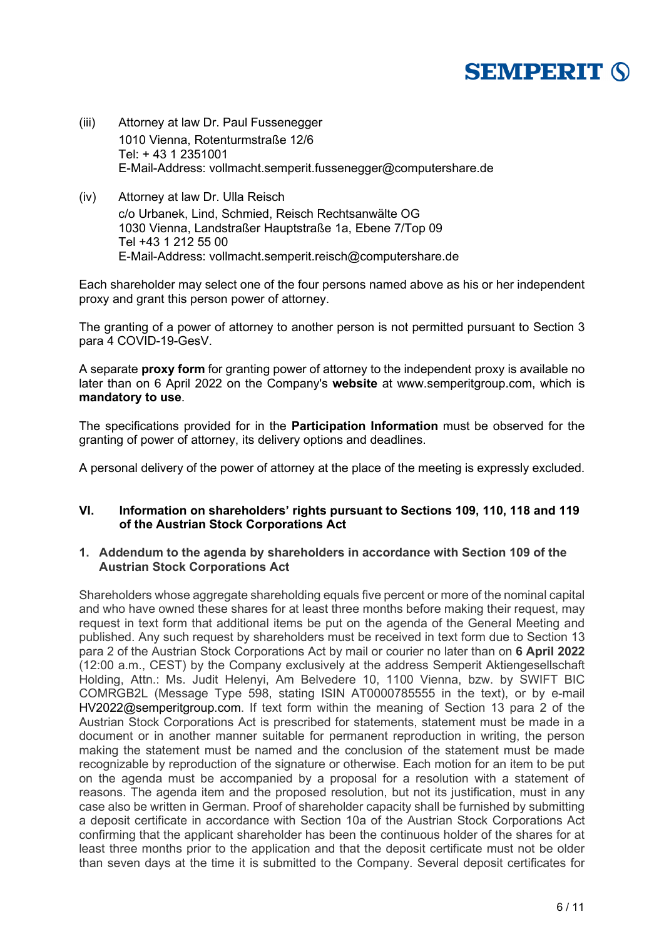# **SEMPERIT (S)**

- (iii) Attorney at law Dr. Paul Fussenegger 1010 Vienna, Rotenturmstraße 12/6 Tel: + 43 1 2351001 E-Mail-Address: vollmacht.semperit.fussenegger@computershare.de
- (iv) Attorney at law Dr. Ulla Reisch c/o Urbanek, Lind, Schmied, Reisch Rechtsanwälte OG 1030 Vienna, Landstraßer Hauptstraße 1a, Ebene 7/Top 09 Tel +43 1 212 55 00 E-Mail-Address: vollmacht.semperit.reisch@computershare.de

Each shareholder may select one of the four persons named above as his or her independent proxy and grant this person power of attorney.

The granting of a power of attorney to another person is not permitted pursuant to Section 3 para 4 COVID-19-GesV.

A separate **proxy form** for granting power of attorney to the independent proxy is available no later than on 6 April 2022 on the Company's **website** at www.semperitgroup.com, which is **mandatory to use**.

The specifications provided for in the **Participation Information** must be observed for the granting of power of attorney, its delivery options and deadlines.

A personal delivery of the power of attorney at the place of the meeting is expressly excluded.

#### **VI. Information on shareholders' rights pursuant to Sections 109, 110, 118 and 119 of the Austrian Stock Corporations Act**

## **1. Addendum to the agenda by shareholders in accordance with Section 109 of the Austrian Stock Corporations Act**

Shareholders whose aggregate shareholding equals five percent or more of the nominal capital and who have owned these shares for at least three months before making their request, may request in text form that additional items be put on the agenda of the General Meeting and published. Any such request by shareholders must be received in text form due to Section 13 para 2 of the Austrian Stock Corporations Act by mail or courier no later than on **6 April 2022** (12:00 a.m., CEST) by the Company exclusively at the address Semperit Aktiengesellschaft Holding, Attn.: Ms. Judit Helenyi, Am Belvedere 10, 1100 Vienna, bzw. by SWIFT BIC COMRGB2L (Message Type 598, stating ISIN AT0000785555 in the text), or by e-mail HV2022@semperitgroup.com. If text form within the meaning of Section 13 para 2 of the Austrian Stock Corporations Act is prescribed for statements, statement must be made in a document or in another manner suitable for permanent reproduction in writing, the person making the statement must be named and the conclusion of the statement must be made recognizable by reproduction of the signature or otherwise. Each motion for an item to be put on the agenda must be accompanied by a proposal for a resolution with a statement of reasons. The agenda item and the proposed resolution, but not its justification, must in any case also be written in German. Proof of shareholder capacity shall be furnished by submitting a deposit certificate in accordance with Section 10a of the Austrian Stock Corporations Act confirming that the applicant shareholder has been the continuous holder of the shares for at least three months prior to the application and that the deposit certificate must not be older than seven days at the time it is submitted to the Company. Several deposit certificates for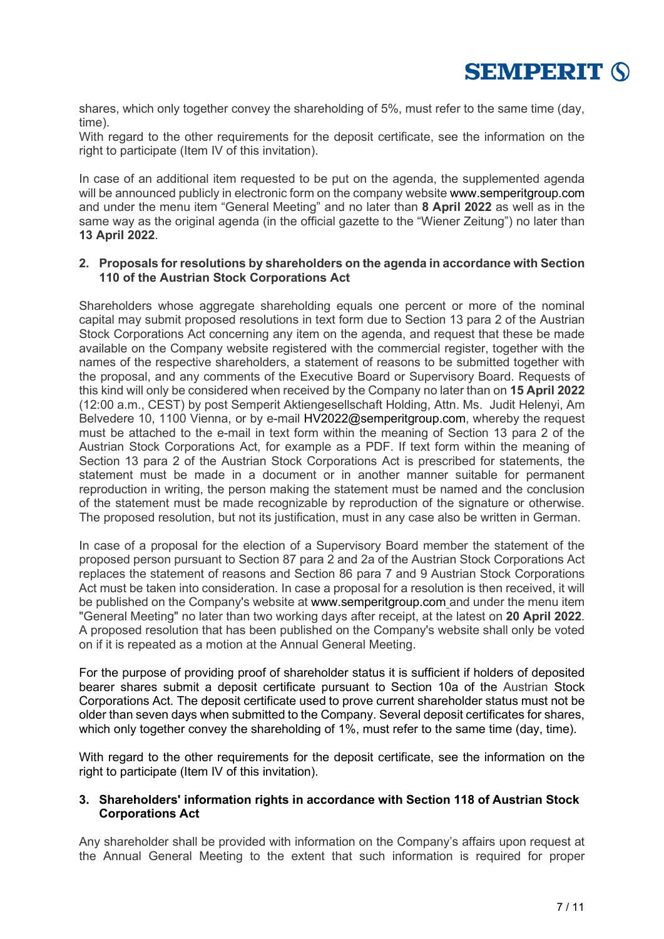

shares, which only together convey the shareholding of 5%, must refer to the same time (day, time).

With regard to the other requirements for the deposit certificate, see the information on the right to participate (Item IV of this invitation).

In case of an additional item requested to be put on the agenda, the supplemented agenda will be announced publicly in electronic form on the company website www.semperitgroup.com and under the menu item "General Meeting" and no later than **8 April 2022** as well as in the same way as the original agenda (in the official gazette to the "Wiener Zeitung") no later than **13 April 2022**.

### **2. Proposals for resolutions by shareholders on the agenda in accordance with Section 110 of the Austrian Stock Corporations Act**

Shareholders whose aggregate shareholding equals one percent or more of the nominal capital may submit proposed resolutions in text form due to Section 13 para 2 of the Austrian Stock Corporations Act concerning any item on the agenda, and request that these be made available on the Company website registered with the commercial register, together with the names of the respective shareholders, a statement of reasons to be submitted together with the proposal, and any comments of the Executive Board or Supervisory Board. Requests of this kind will only be considered when received by the Company no later than on **15 April 2022** (12:00 a.m., CEST) by post Semperit Aktiengesellschaft Holding, Attn. Ms. Judit Helenyi, Am Belvedere 10, 1100 Vienna, or by e-mail HV2022@semperitgroup.com, whereby the request must be attached to the e-mail in text form within the meaning of Section 13 para 2 of the Austrian Stock Corporations Act, for example as a PDF. If text form within the meaning of Section 13 para 2 of the Austrian Stock Corporations Act is prescribed for statements, the statement must be made in a document or in another manner suitable for permanent reproduction in writing, the person making the statement must be named and the conclusion of the statement must be made recognizable by reproduction of the signature or otherwise. The proposed resolution, but not its justification, must in any case also be written in German.

In case of a proposal for the election of a Supervisory Board member the statement of the proposed person pursuant to Section 87 para 2 and 2a of the Austrian Stock Corporations Act replaces the statement of reasons and Section 86 para 7 and 9 Austrian Stock Corporations Act must be taken into consideration. In case a proposal for a resolution is then received, it will be published on the Company's website at www.semperitgroup.com and under the menu item "General Meeting" no later than two working days after receipt, at the latest on **20 April 2022**. A proposed resolution that has been published on the Company's website shall only be voted on if it is repeated as a motion at the Annual General Meeting.

For the purpose of providing proof of shareholder status it is sufficient if holders of deposited bearer shares submit a deposit certificate pursuant to Section 10a of the Austrian Stock Corporations Act. The deposit certificate used to prove current shareholder status must not be older than seven days when submitted to the Company. Several deposit certificates for shares, which only together convey the shareholding of 1%, must refer to the same time (day, time).

With regard to the other requirements for the deposit certificate, see the information on the right to participate (Item IV of this invitation).

## **3. Shareholders' information rights in accordance with Section 118 of Austrian Stock Corporations Act**

Any shareholder shall be provided with information on the Company's affairs upon request at the Annual General Meeting to the extent that such information is required for proper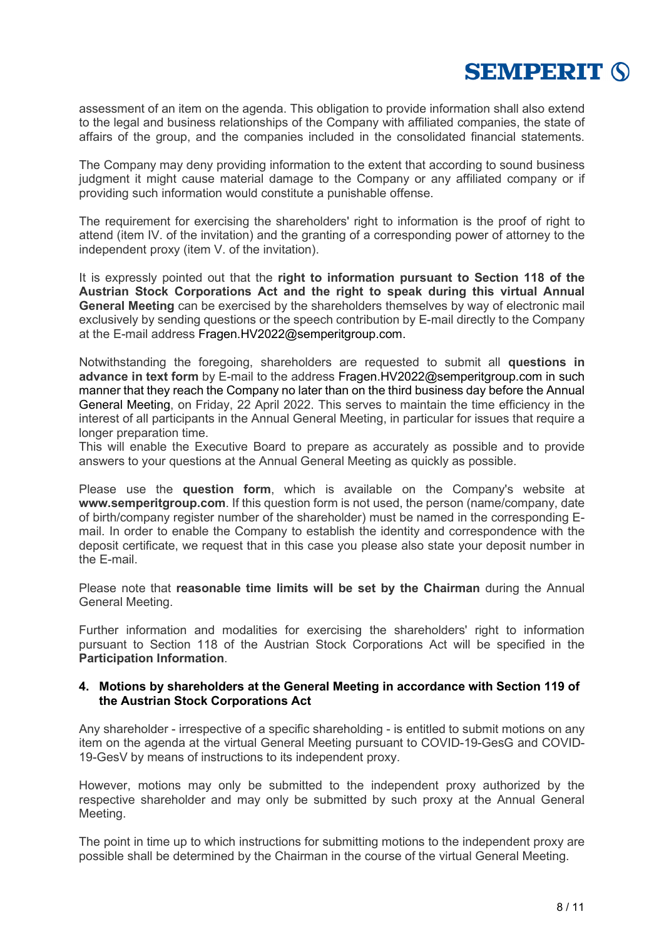

assessment of an item on the agenda. This obligation to provide information shall also extend to the legal and business relationships of the Company with affiliated companies, the state of affairs of the group, and the companies included in the consolidated financial statements.

The Company may deny providing information to the extent that according to sound business judgment it might cause material damage to the Company or any affiliated company or if providing such information would constitute a punishable offense.

The requirement for exercising the shareholders' right to information is the proof of right to attend (item IV. of the invitation) and the granting of a corresponding power of attorney to the independent proxy (item V. of the invitation).

It is expressly pointed out that the **right to information pursuant to Section 118 of the Austrian Stock Corporations Act and the right to speak during this virtual Annual General Meeting** can be exercised by the shareholders themselves by way of electronic mail exclusively by sending questions or the speech contribution by E-mail directly to the Company at the E-mail address Fragen.HV2022@semperitgroup.com.

Notwithstanding the foregoing, shareholders are requested to submit all **questions in advance in text form** by E-mail to the address Fragen.HV2022@semperitgroup.com in such manner that they reach the Company no later than on the third business day before the Annual General Meeting, on Friday, 22 April 2022. This serves to maintain the time efficiency in the interest of all participants in the Annual General Meeting, in particular for issues that require a longer preparation time.

This will enable the Executive Board to prepare as accurately as possible and to provide answers to your questions at the Annual General Meeting as quickly as possible.

Please use the **question form**, which is available on the Company's website at **www.semperitgroup.com**. If this question form is not used, the person (name/company, date of birth/company register number of the shareholder) must be named in the corresponding Email. In order to enable the Company to establish the identity and correspondence with the deposit certificate, we request that in this case you please also state your deposit number in the E-mail.

Please note that **reasonable time limits will be set by the Chairman** during the Annual General Meeting.

Further information and modalities for exercising the shareholders' right to information pursuant to Section 118 of the Austrian Stock Corporations Act will be specified in the **Participation Information**.

#### **4. Motions by shareholders at the General Meeting in accordance with Section 119 of the Austrian Stock Corporations Act**

Any shareholder - irrespective of a specific shareholding - is entitled to submit motions on any item on the agenda at the virtual General Meeting pursuant to COVID-19-GesG and COVID-19-GesV by means of instructions to its independent proxy.

However, motions may only be submitted to the independent proxy authorized by the respective shareholder and may only be submitted by such proxy at the Annual General Meeting.

The point in time up to which instructions for submitting motions to the independent proxy are possible shall be determined by the Chairman in the course of the virtual General Meeting.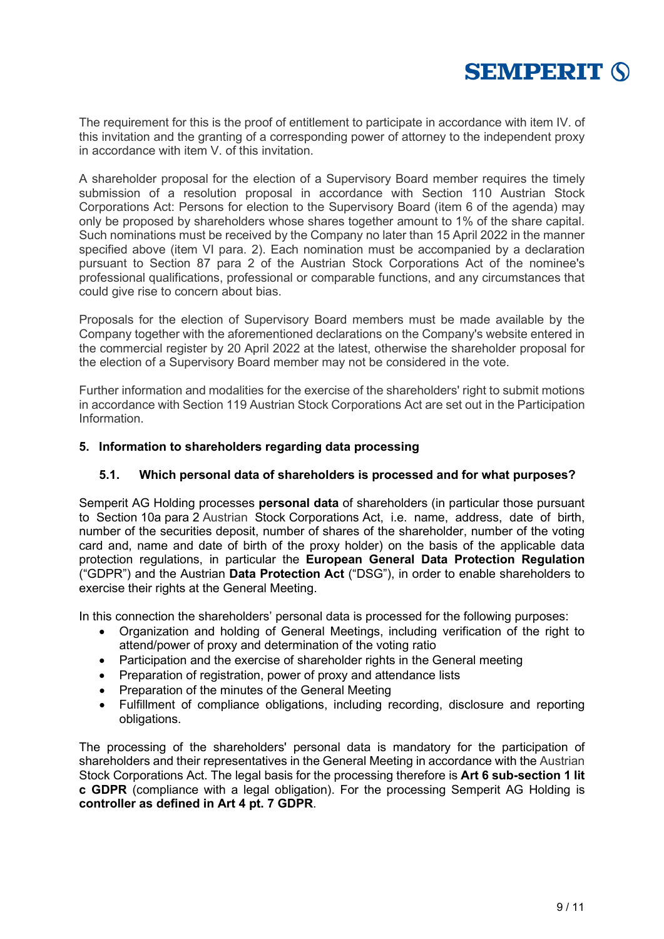

The requirement for this is the proof of entitlement to participate in accordance with item IV. of this invitation and the granting of a corresponding power of attorney to the independent proxy in accordance with item V. of this invitation.

A shareholder proposal for the election of a Supervisory Board member requires the timely submission of a resolution proposal in accordance with Section 110 Austrian Stock Corporations Act: Persons for election to the Supervisory Board (item 6 of the agenda) may only be proposed by shareholders whose shares together amount to 1% of the share capital. Such nominations must be received by the Company no later than 15 April 2022 in the manner specified above (item VI para. 2). Each nomination must be accompanied by a declaration pursuant to Section 87 para 2 of the Austrian Stock Corporations Act of the nominee's professional qualifications, professional or comparable functions, and any circumstances that could give rise to concern about bias.

Proposals for the election of Supervisory Board members must be made available by the Company together with the aforementioned declarations on the Company's website entered in the commercial register by 20 April 2022 at the latest, otherwise the shareholder proposal for the election of a Supervisory Board member may not be considered in the vote.

Further information and modalities for the exercise of the shareholders' right to submit motions in accordance with Section 119 Austrian Stock Corporations Act are set out in the Participation Information.

# **5. Information to shareholders regarding data processing**

## **5.1. Which personal data of shareholders is processed and for what purposes?**

Semperit AG Holding processes **personal data** of shareholders (in particular those pursuant to Section 10a para 2 Austrian Stock Corporations Act, i.e. name, address, date of birth, number of the securities deposit, number of shares of the shareholder, number of the voting card and, name and date of birth of the proxy holder) on the basis of the applicable data protection regulations, in particular the **European General Data Protection Regulation** ("GDPR") and the Austrian **Data Protection Act** ("DSG"), in order to enable shareholders to exercise their rights at the General Meeting.

In this connection the shareholders' personal data is processed for the following purposes:

- Organization and holding of General Meetings, including verification of the right to attend/power of proxy and determination of the voting ratio
- Participation and the exercise of shareholder rights in the General meeting
- Preparation of registration, power of proxy and attendance lists
- Preparation of the minutes of the General Meeting
- Fulfillment of compliance obligations, including recording, disclosure and reporting obligations.

The processing of the shareholders' personal data is mandatory for the participation of shareholders and their representatives in the General Meeting in accordance with the Austrian Stock Corporations Act. The legal basis for the processing therefore is **Art 6 sub-section 1 lit c GDPR** (compliance with a legal obligation). For the processing Semperit AG Holding is **controller as defined in Art 4 pt. 7 GDPR**.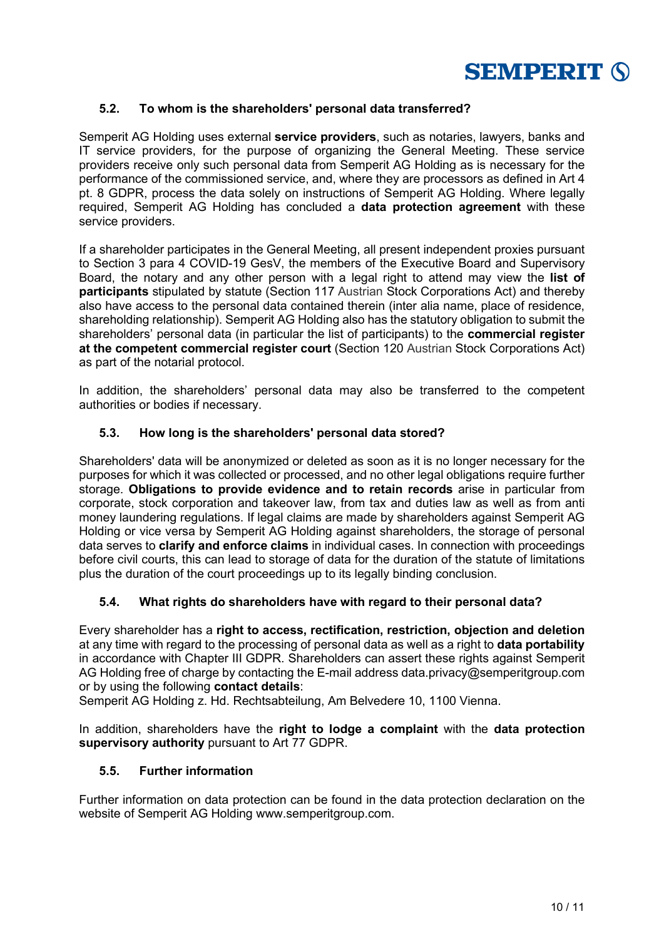

# **5.2. To whom is the shareholders' personal data transferred?**

Semperit AG Holding uses external **service providers**, such as notaries, lawyers, banks and IT service providers, for the purpose of organizing the General Meeting. These service providers receive only such personal data from Semperit AG Holding as is necessary for the performance of the commissioned service, and, where they are processors as defined in Art 4 pt. 8 GDPR, process the data solely on instructions of Semperit AG Holding. Where legally required, Semperit AG Holding has concluded a **data protection agreement** with these service providers.

If a shareholder participates in the General Meeting, all present independent proxies pursuant to Section 3 para 4 COVID-19 GesV, the members of the Executive Board and Supervisory Board, the notary and any other person with a legal right to attend may view the **list of participants** stipulated by statute (Section 117 Austrian Stock Corporations Act) and thereby also have access to the personal data contained therein (inter alia name, place of residence, shareholding relationship). Semperit AG Holding also has the statutory obligation to submit the shareholders' personal data (in particular the list of participants) to the **commercial register at the competent commercial register court** (Section 120 Austrian Stock Corporations Act) as part of the notarial protocol.

In addition, the shareholders' personal data may also be transferred to the competent authorities or bodies if necessary.

# **5.3. How long is the shareholders' personal data stored?**

Shareholders' data will be anonymized or deleted as soon as it is no longer necessary for the purposes for which it was collected or processed, and no other legal obligations require further storage. **Obligations to provide evidence and to retain records** arise in particular from corporate, stock corporation and takeover law, from tax and duties law as well as from anti money laundering regulations. If legal claims are made by shareholders against Semperit AG Holding or vice versa by Semperit AG Holding against shareholders, the storage of personal data serves to **clarify and enforce claims** in individual cases. In connection with proceedings before civil courts, this can lead to storage of data for the duration of the statute of limitations plus the duration of the court proceedings up to its legally binding conclusion.

# **5.4. What rights do shareholders have with regard to their personal data?**

Every shareholder has a **right to access, rectification, restriction, objection and deletion** at any time with regard to the processing of personal data as well as a right to **data portability** in accordance with Chapter III GDPR. Shareholders can assert these rights against Semperit AG Holding free of charge by contacting the E-mail address data.privacy@semperitgroup.com or by using the following **contact details**:

Semperit AG Holding z. Hd. Rechtsabteilung, Am Belvedere 10, 1100 Vienna.

In addition, shareholders have the **right to lodge a complaint** with the **data protection supervisory authority** pursuant to Art 77 GDPR.

#### **5.5. Further information**

Further information on data protection can be found in the data protection declaration on the website of Semperit AG Holding www.semperitgroup.com.